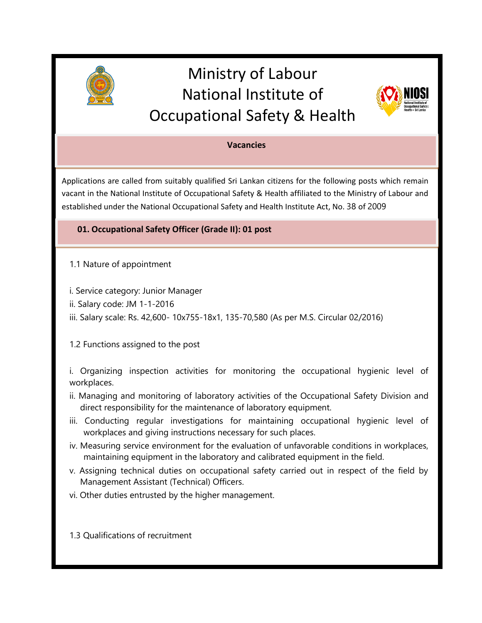

# Ministry of Labour National Institute of Occupational Safety & Health



#### **Vacancies**

Applications are called from suitably qualified Sri Lankan citizens for the following posts which remain vacant in the National Institute of Occupational Safety & Health affiliated to the Ministry of Labour and established under the National Occupational Safety and Health Institute Act, No. 38 of 2009

### **01. Occupational Safety Officer (Grade II): 01 post**

- 1.1 Nature of appointment
- i. Service category: Junior Manager
- ii. Salary code: JM 1-1-2016
- iii. Salary scale: Rs. 42,600- 10x755-18x1, 135-70,580 (As per M.S. Circular 02/2016)

1.2 Functions assigned to the post

i. Organizing inspection activities for monitoring the occupational hygienic level of workplaces.

- ii. Managing and monitoring of laboratory activities of the Occupational Safety Division and direct responsibility for the maintenance of laboratory equipment.
- iii. Conducting regular investigations for maintaining occupational hygienic level of workplaces and giving instructions necessary for such places.
- iv. Measuring service environment for the evaluation of unfavorable conditions in workplaces, maintaining equipment in the laboratory and calibrated equipment in the field.
- v. Assigning technical duties on occupational safety carried out in respect of the field by Management Assistant (Technical) Officers.
- vi. Other duties entrusted by the higher management.
- 1.3 Qualifications of recruitment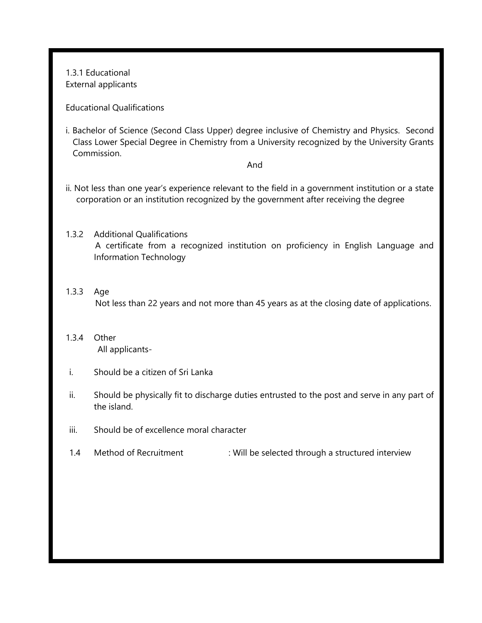1.3.1 Educational External applicants

Educational Qualifications

i. Bachelor of Science (Second Class Upper) degree inclusive of Chemistry and Physics. Second Class Lower Special Degree in Chemistry from a University recognized by the University Grants Commission.

**And And And** 

- ii. Not less than one year's experience relevant to the field in a government institution or a state corporation or an institution recognized by the government after receiving the degree
- 1.3.2 Additional Qualifications A certificate from a recognized institution on proficiency in English Language and Information Technology
- 1.3.3 Age Not less than 22 years and not more than 45 years as at the closing date of applications.
- 1.3.4 Other All applicants-
- i. Should be a citizen of Sri Lanka
- ii. Should be physically fit to discharge duties entrusted to the post and serve in any part of the island.
- iii. Should be of excellence moral character
- 1.4 Method of Recruitment : Will be selected through a structured interview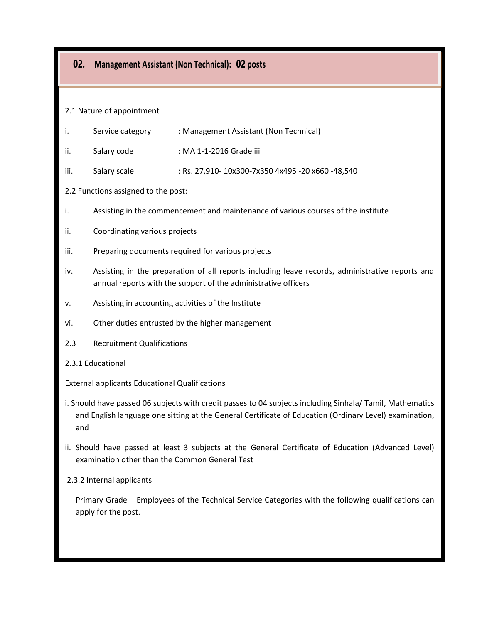## **02. Management Assistant (Non Technical): 02 posts**

#### 2.1 Nature of appointment

| L.   | Service category | : Management Assistant (Non Technical)         |
|------|------------------|------------------------------------------------|
| ii.  | Salary code      | : MA 1-1-2016 Grade iii                        |
| iii. | Salary scale     | Rs. 27,910-10x300-7x350 4x495 -20 x660 -48,540 |

#### 2.2 Functions assigned to the post:

- i. Assisting in the commencement and maintenance of various courses of the institute
- ii. Coordinating various projects
- iii. Preparing documents required for various projects
- iv. Assisting in the preparation of all reports including leave records, administrative reports and annual reports with the support of the administrative officers
- v. Assisting in accounting activities of the Institute
- vi. Other duties entrusted by the higher management
- 2.3 Recruitment Qualifications
- 2.3.1 Educational

External applicants Educational Qualifications

- i. Should have passed 06 subjects with credit passes to 04 subjects including Sinhala/ Tamil, Mathematics and English language one sitting at the General Certificate of Education (Ordinary Level) examination, and
- ii. Should have passed at least 3 subjects at the General Certificate of Education (Advanced Level) examination other than the Common General Test
- 2.3.2 Internal applicants

Primary Grade – Employees of the Technical Service Categories with the following qualifications can apply for the post.